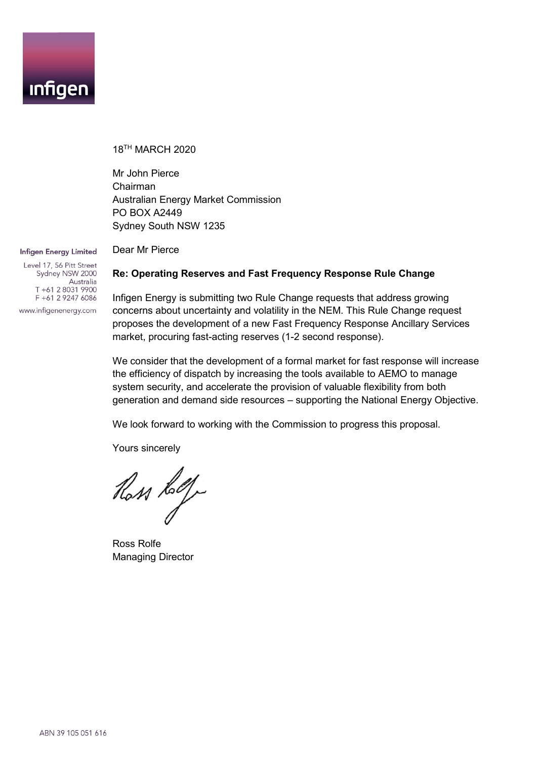

18TH MARCH 2020

Dear Mr Pierce

Mr John Pierce Chairman Australian Energy Market Commission PO BOX A2449 Sydney South NSW 1235

#### Infigen Energy Limited

Level 17, 56 Pitt Street Sydney NSW 2000 Australia T+61 2 8031 9900 F +61 2 9247 6086 www.infigenenergy.com

## **Re: Operating Reserves and Fast Frequency Response Rule Change**

Infigen Energy is submitting two Rule Change requests that address growing concerns about uncertainty and volatility in the NEM. This Rule Change request proposes the development of a new Fast Frequency Response Ancillary Services market, procuring fast-acting reserves (1-2 second response).

We consider that the development of a formal market for fast response will increase the efficiency of dispatch by increasing the tools available to AEMO to manage system security, and accelerate the provision of valuable flexibility from both generation and demand side resources – supporting the National Energy Objective.

We look forward to working with the Commission to progress this proposal.

Yours sincerely

Ross Lolf

Ross Rolfe Managing Director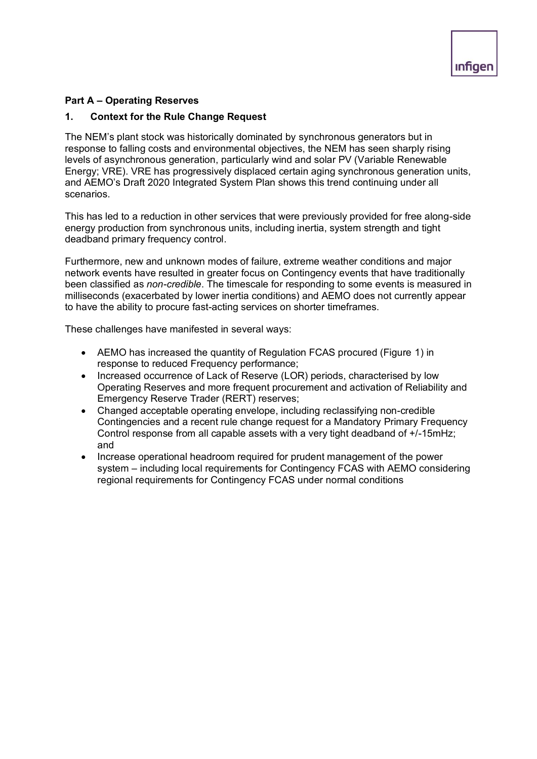## **Part A – Operating Reserves**

## **1. Context for the Rule Change Request**

The NEM's plant stock was historically dominated by synchronous generators but in response to falling costs and environmental objectives, the NEM has seen sharply rising levels of asynchronous generation, particularly wind and solar PV (Variable Renewable Energy; VRE). VRE has progressively displaced certain aging synchronous generation units, and AEMO's Draft 2020 Integrated System Plan shows this trend continuing under all scenarios.

This has led to a reduction in other services that were previously provided for free along-side energy production from synchronous units, including inertia, system strength and tight deadband primary frequency control.

Furthermore, new and unknown modes of failure, extreme weather conditions and major network events have resulted in greater focus on Contingency events that have traditionally been classified as *non-credible*. The timescale for responding to some events is measured in milliseconds (exacerbated by lower inertia conditions) and AEMO does not currently appear to have the ability to procure fast-acting services on shorter timeframes.

These challenges have manifested in several ways:

- AEMO has increased the quantity of Regulation FCAS procured (Figure 1) in response to reduced Frequency performance;
- Increased occurrence of Lack of Reserve (LOR) periods, characterised by low Operating Reserves and more frequent procurement and activation of Reliability and Emergency Reserve Trader (RERT) reserves;
- Changed acceptable operating envelope, including reclassifying non-credible Contingencies and a recent rule change request for a Mandatory Primary Frequency Control response from all capable assets with a very tight deadband of +/-15mHz; and
- Increase operational headroom required for prudent management of the power system – including local requirements for Contingency FCAS with AEMO considering regional requirements for Contingency FCAS under normal conditions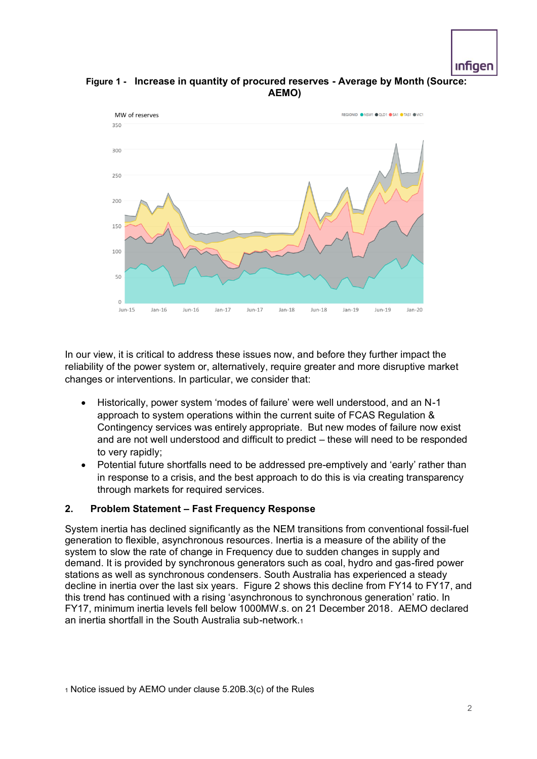

# **Figure 1 - Increase in quantity of procured reserves - Average by Month (Source: AEMO)**



In our view, it is critical to address these issues now, and before they further impact the reliability of the power system or, alternatively, require greater and more disruptive market changes or interventions. In particular, we consider that:

- Historically, power system 'modes of failure' were well understood, and an N-1 approach to system operations within the current suite of FCAS Regulation & Contingency services was entirely appropriate. But new modes of failure now exist and are not well understood and difficult to predict – these will need to be responded to very rapidly;
- Potential future shortfalls need to be addressed pre-emptively and 'early' rather than in response to a crisis, and the best approach to do this is via creating transparency through markets for required services.

#### **2. Problem Statement – Fast Frequency Response**

System inertia has declined significantly as the NEM transitions from conventional fossil-fuel generation to flexible, asynchronous resources. Inertia is a measure of the ability of the system to slow the rate of change in Frequency due to sudden changes in supply and demand. It is provided by synchronous generators such as coal, hydro and gas-fired power stations as well as synchronous condensers. South Australia has experienced a steady decline in inertia over the last six years. Figure 2 shows this decline from FY14 to FY17, and this trend has continued with a rising 'asynchronous to synchronous generation' ratio. In FY17, minimum inertia levels fell below 1000MW.s. on 21 December 2018. AEMO declared an inertia shortfall in the South Australia sub-network.1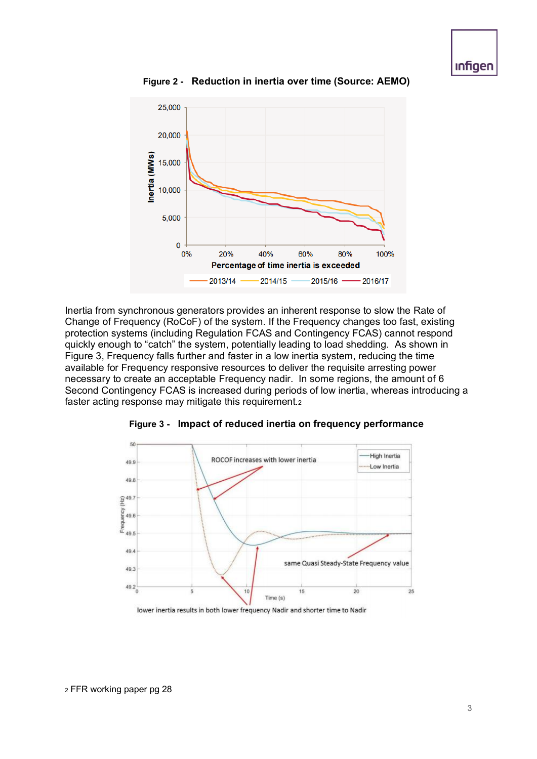25,000 20,000 nertia (MWs) 15,000 10,000 5,000  $\mathbf 0$  $0%$ 20% 40% 60% 80% 100% Percentage of time inertia is exceeded 2013/14 2014/15 2015/16 2016/17

**Figure 2 - Reduction in inertia over time (Source: AEMO)**

Inertia from synchronous generators provides an inherent response to slow the Rate of Change of Frequency (RoCoF) of the system. If the Frequency changes too fast, existing protection systems (including Regulation FCAS and Contingency FCAS) cannot respond quickly enough to "catch" the system, potentially leading to load shedding. As shown in Figure 3, Frequency falls further and faster in a low inertia system, reducing the time available for Frequency responsive resources to deliver the requisite arresting power necessary to create an acceptable Frequency nadir. In some regions, the amount of 6 Second Contingency FCAS is increased during periods of low inertia, whereas introducing a faster acting response may mitigate this requirement.2



**Figure 3 - Impact of reduced inertia on frequency performance**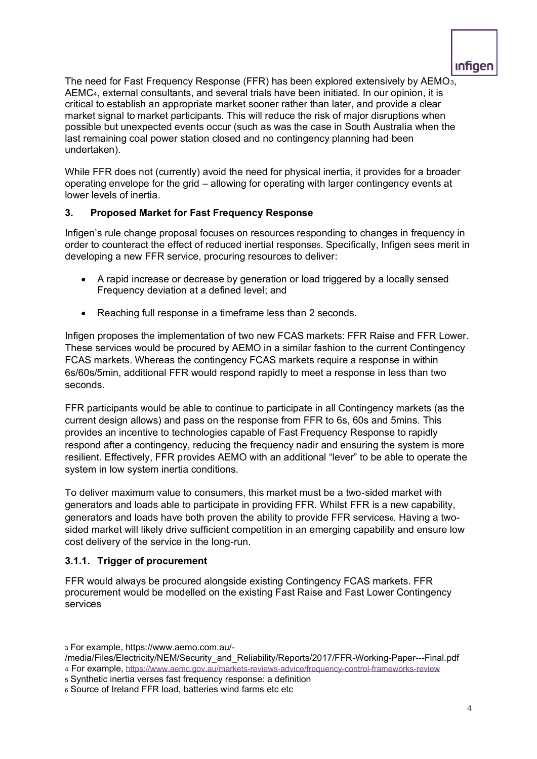The need for Fast Frequency Response (FFR) has been explored extensively by AEMO3, AEMC4, external consultants, and several trials have been initiated. In our opinion, it is critical to establish an appropriate market sooner rather than later, and provide a clear market signal to market participants. This will reduce the risk of major disruptions when possible but unexpected events occur (such as was the case in South Australia when the last remaining coal power station closed and no contingency planning had been undertaken).

While FFR does not (currently) avoid the need for physical inertia, it provides for a broader operating envelope for the grid – allowing for operating with larger contingency events at lower levels of inertia.

# **3. Proposed Market for Fast Frequency Response**

Infigen's rule change proposal focuses on resources responding to changes in frequency in order to counteract the effect of reduced inertial response5. Specifically, Infigen sees merit in developing a new FFR service, procuring resources to deliver:

- A rapid increase or decrease by generation or load triggered by a locally sensed Frequency deviation at a defined level; and
- Reaching full response in a timeframe less than 2 seconds.

Infigen proposes the implementation of two new FCAS markets: FFR Raise and FFR Lower. These services would be procured by AEMO in a similar fashion to the current Contingency FCAS markets. Whereas the contingency FCAS markets require a response in within 6s/60s/5min, additional FFR would respond rapidly to meet a response in less than two seconds.

FFR participants would be able to continue to participate in all Contingency markets (as the current design allows) and pass on the response from FFR to 6s, 60s and 5mins. This provides an incentive to technologies capable of Fast Frequency Response to rapidly respond after a contingency, reducing the frequency nadir and ensuring the system is more resilient. Effectively, FFR provides AEMO with an additional "lever" to be able to operate the system in low system inertia conditions.

To deliver maximum value to consumers, this market must be a two-sided market with generators and loads able to participate in providing FFR. Whilst FFR is a new capability, generators and loads have both proven the ability to provide FFR services<sup>6</sup>. Having a twosided market will likely drive sufficient competition in an emerging capability and ensure low cost delivery of the service in the long-run.

#### **3.1.1. Trigger of procurement**

FFR would always be procured alongside existing Contingency FCAS markets. FFR procurement would be modelled on the existing Fast Raise and Fast Lower Contingency services

- /media/Files/Electricity/NEM/Security\_and\_Reliability/Reports/2017/FFR-Working-Paper---Final.pdf
- <sup>4</sup> For example, <https://www.aemc.gov.au/markets-reviews-advice/frequency-control-frameworks-review>

<sup>3</sup> For example, https://www.aemo.com.au/-

<sup>5</sup> Synthetic inertia verses fast frequency response: a definition

<sup>6</sup> Source of Ireland FFR load, batteries wind farms etc etc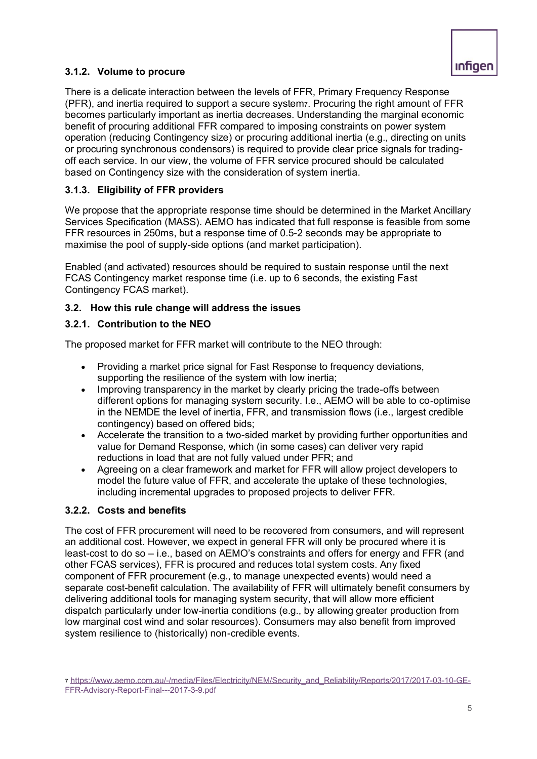## **3.1.2. Volume to procure**

There is a delicate interaction between the levels of FFR, Primary Frequency Response (PFR), and inertia required to support a secure system7. Procuring the right amount of FFR becomes particularly important as inertia decreases. Understanding the marginal economic benefit of procuring additional FFR compared to imposing constraints on power system operation (reducing Contingency size) or procuring additional inertia (e.g., directing on units or procuring synchronous condensors) is required to provide clear price signals for tradingoff each service. In our view, the volume of FFR service procured should be calculated based on Contingency size with the consideration of system inertia.

## **3.1.3. Eligibility of FFR providers**

We propose that the appropriate response time should be determined in the Market Ancillary Services Specification (MASS). AEMO has indicated that full response is feasible from some FFR resources in 250ms, but a response time of 0.5-2 seconds may be appropriate to maximise the pool of supply-side options (and market participation).

Enabled (and activated) resources should be required to sustain response until the next FCAS Contingency market response time (i.e. up to 6 seconds, the existing Fast Contingency FCAS market).

## **3.2. How this rule change will address the issues**

## **3.2.1. Contribution to the NEO**

The proposed market for FFR market will contribute to the NEO through:

- Providing a market price signal for Fast Response to frequency deviations, supporting the resilience of the system with low inertia;
- Improving transparency in the market by clearly pricing the trade-offs between different options for managing system security. I.e., AEMO will be able to co-optimise in the NEMDE the level of inertia, FFR, and transmission flows (i.e., largest credible contingency) based on offered bids;
- Accelerate the transition to a two-sided market by providing further opportunities and value for Demand Response, which (in some cases) can deliver very rapid reductions in load that are not fully valued under PFR; and
- Agreeing on a clear framework and market for FFR will allow project developers to model the future value of FFR, and accelerate the uptake of these technologies, including incremental upgrades to proposed projects to deliver FFR.

#### **3.2.2. Costs and benefits**

The cost of FFR procurement will need to be recovered from consumers, and will represent an additional cost. However, we expect in general FFR will only be procured where it is least-cost to do so – i.e., based on AEMO's constraints and offers for energy and FFR (and other FCAS services), FFR is procured and reduces total system costs. Any fixed component of FFR procurement (e.g., to manage unexpected events) would need a separate cost-benefit calculation. The availability of FFR will ultimately benefit consumers by delivering additional tools for managing system security, that will allow more efficient dispatch particularly under low-inertia conditions (e.g., by allowing greater production from low marginal cost wind and solar resources). Consumers may also benefit from improved system resilience to (historically) non-credible events.

<sup>7</sup> [https://www.aemo.com.au/-/media/Files/Electricity/NEM/Security\\_and\\_Reliability/Reports/2017/2017-03-10-GE-](https://www.aemo.com.au/-/media/Files/Electricity/NEM/Security_and_Reliability/Reports/2017/2017-03-10-GE-FFR-Advisory-Report-Final---2017-3-9.pdf)[FFR-Advisory-Report-Final---2017-3-9.pdf](https://www.aemo.com.au/-/media/Files/Electricity/NEM/Security_and_Reliability/Reports/2017/2017-03-10-GE-FFR-Advisory-Report-Final---2017-3-9.pdf)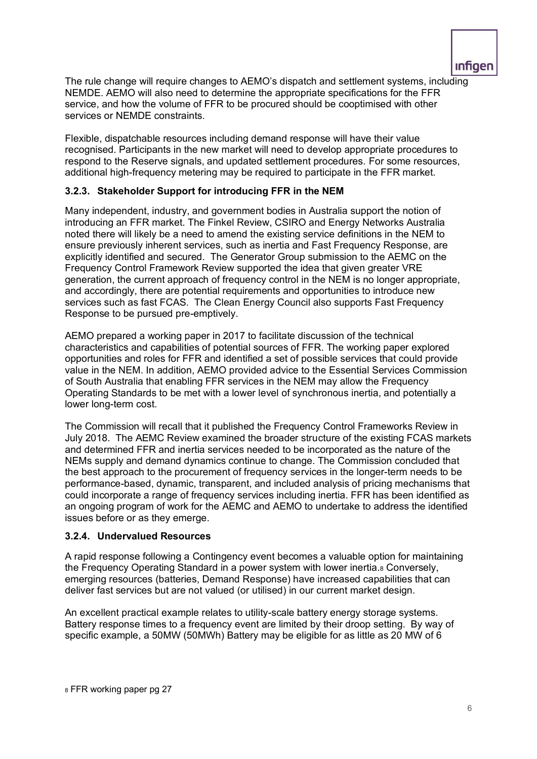

The rule change will require changes to AEMO's dispatch and settlement systems, including NEMDE. AEMO will also need to determine the appropriate specifications for the FFR service, and how the volume of FFR to be procured should be cooptimised with other services or NEMDE constraints.

Flexible, dispatchable resources including demand response will have their value recognised. Participants in the new market will need to develop appropriate procedures to respond to the Reserve signals, and updated settlement procedures. For some resources, additional high-frequency metering may be required to participate in the FFR market.

#### **3.2.3. Stakeholder Support for introducing FFR in the NEM**

Many independent, industry, and government bodies in Australia support the notion of introducing an FFR market. The Finkel Review, CSIRO and Energy Networks Australia noted there will likely be a need to amend the existing service definitions in the NEM to ensure previously inherent services, such as inertia and Fast Frequency Response, are explicitly identified and secured. The Generator Group submission to the AEMC on the Frequency Control Framework Review supported the idea that given greater VRE generation, the current approach of frequency control in the NEM is no longer appropriate, and accordingly, there are potential requirements and opportunities to introduce new services such as fast FCAS. The Clean Energy Council also supports Fast Frequency Response to be pursued pre-emptively.

AEMO prepared a working paper in 2017 to facilitate discussion of the technical characteristics and capabilities of potential sources of FFR. The working paper explored opportunities and roles for FFR and identified a set of possible services that could provide value in the NEM. In addition, AEMO provided advice to the Essential Services Commission of South Australia that enabling FFR services in the NEM may allow the Frequency Operating Standards to be met with a lower level of synchronous inertia, and potentially a lower long-term cost.

The Commission will recall that it published the Frequency Control Frameworks Review in July 2018. The AEMC Review examined the broader structure of the existing FCAS markets and determined FFR and inertia services needed to be incorporated as the nature of the NEMs supply and demand dynamics continue to change. The Commission concluded that the best approach to the procurement of frequency services in the longer-term needs to be performance-based, dynamic, transparent, and included analysis of pricing mechanisms that could incorporate a range of frequency services including inertia. FFR has been identified as an ongoing program of work for the AEMC and AEMO to undertake to address the identified issues before or as they emerge.

#### **3.2.4. Undervalued Resources**

A rapid response following a Contingency event becomes a valuable option for maintaining the Frequency Operating Standard in a power system with lower inertia.8 Conversely, emerging resources (batteries, Demand Response) have increased capabilities that can deliver fast services but are not valued (or utilised) in our current market design.

An excellent practical example relates to utility-scale battery energy storage systems. Battery response times to a frequency event are limited by their droop setting. By way of specific example, a 50MW (50MWh) Battery may be eligible for as little as 20 MW of 6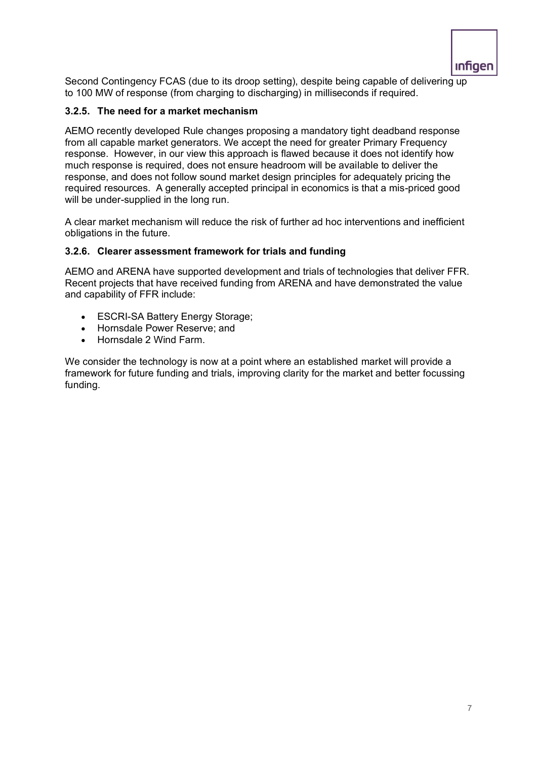

Second Contingency FCAS (due to its droop setting), despite being capable of delivering up to 100 MW of response (from charging to discharging) in milliseconds if required.

#### **3.2.5. The need for a market mechanism**

AEMO recently developed Rule changes proposing a mandatory tight deadband response from all capable market generators. We accept the need for greater Primary Frequency response. However, in our view this approach is flawed because it does not identify how much response is required, does not ensure headroom will be available to deliver the response, and does not follow sound market design principles for adequately pricing the required resources. A generally accepted principal in economics is that a mis-priced good will be under-supplied in the long run.

A clear market mechanism will reduce the risk of further ad hoc interventions and inefficient obligations in the future.

## **3.2.6. Clearer assessment framework for trials and funding**

AEMO and ARENA have supported development and trials of technologies that deliver FFR. Recent projects that have received funding from ARENA and have demonstrated the value and capability of FFR include:

- ESCRI-SA Battery Energy Storage;
- Hornsdale Power Reserve; and
- Hornsdale 2 Wind Farm.

We consider the technology is now at a point where an established market will provide a framework for future funding and trials, improving clarity for the market and better focussing funding.